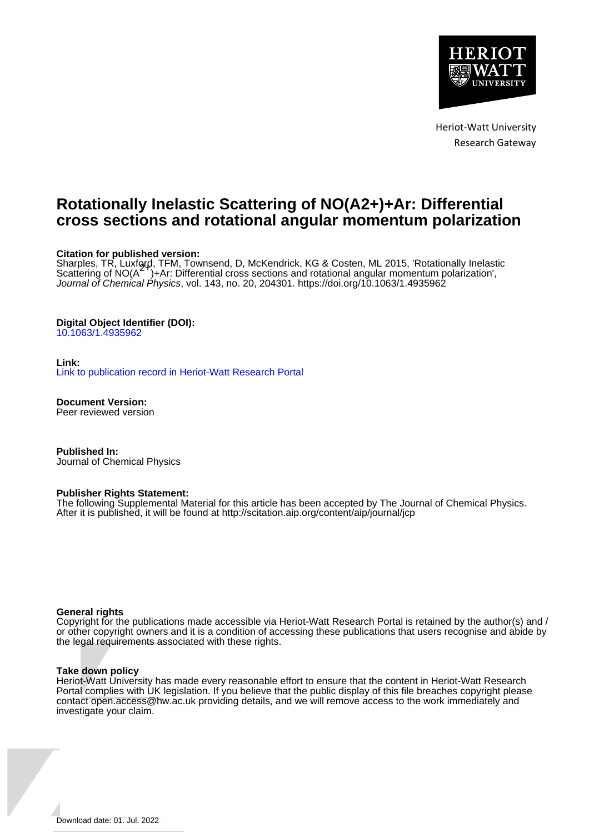

Heriot-Watt University Research Gateway

# **Rotationally Inelastic Scattering of NO(A2+)+Ar: Differential cross sections and rotational angular momentum polarization**

## **Citation for published version:**

Sharples, TR, Luxford, TFM, Townsend, D, McKendrick, KG & Costen, ML 2015, 'Rotationally Inelastic<br>Scattering of NO(A<sup>ST</sup>)+Ar: Differential cross sections and rotational angular momentum polarization', Journal of Chemical Physics, vol. 143, no. 20, 204301.<https://doi.org/10.1063/1.4935962>

# **Digital Object Identifier (DOI):**

[10.1063/1.4935962](https://doi.org/10.1063/1.4935962)

## **Link:**

[Link to publication record in Heriot-Watt Research Portal](https://researchportal.hw.ac.uk/en/publications/1604dbdc-e67a-472c-bc85-6fa79da7d0f9)

**Document Version:** Peer reviewed version

**Published In:** Journal of Chemical Physics

### **Publisher Rights Statement:**

The following Supplemental Material for this article has been accepted by The Journal of Chemical Physics. After it is published, it will be found at http://scitation.aip.org/content/aip/journal/jcp

### **General rights**

Copyright for the publications made accessible via Heriot-Watt Research Portal is retained by the author(s) and / or other copyright owners and it is a condition of accessing these publications that users recognise and abide by the legal requirements associated with these rights.

### **Take down policy**

Heriot-Watt University has made every reasonable effort to ensure that the content in Heriot-Watt Research Portal complies with UK legislation. If you believe that the public display of this file breaches copyright please contact open.access@hw.ac.uk providing details, and we will remove access to the work immediately and investigate your claim.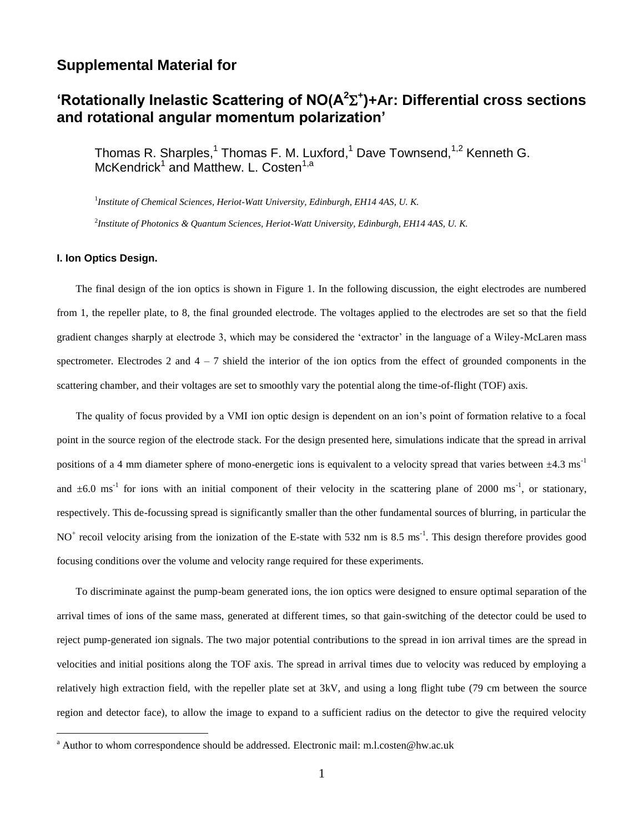# **Supplemental Material for**

# **'Rotationally Inelastic Scattering of NO(A<sup>2</sup> + )+Ar: Differential cross sections and rotational angular momentum polarization'**

Thomas R. Sharples,<sup>1</sup> Thomas F. M. Luxford,<sup>1</sup> Dave Townsend,<sup>1,2</sup> Kenneth G. McKendrick<sup>1</sup> and Matthew. L. Costen<sup>1,a</sup>

1 *Institute of Chemical Sciences, Heriot-Watt University, Edinburgh, EH14 4AS, U. K.*

2 *Institute of Photonics & Quantum Sciences, Heriot-Watt University, Edinburgh, EH14 4AS, U. K.*

## **I. Ion Optics Design.**

 $\overline{a}$ 

The final design of the ion optics is shown in Figure 1. In the following discussion, the eight electrodes are numbered from 1, the repeller plate, to 8, the final grounded electrode. The voltages applied to the electrodes are set so that the field gradient changes sharply at electrode 3, which may be considered the 'extractor' in the language of a Wiley-McLaren mass spectrometer. Electrodes 2 and  $4 - 7$  shield the interior of the ion optics from the effect of grounded components in the scattering chamber, and their voltages are set to smoothly vary the potential along the time-of-flight (TOF) axis.

The quality of focus provided by a VMI ion optic design is dependent on an ion's point of formation relative to a focal point in the source region of the electrode stack. For the design presented here, simulations indicate that the spread in arrival positions of a 4 mm diameter sphere of mono-energetic ions is equivalent to a velocity spread that varies between  $\pm 4.3 \text{ ms}^{-1}$ and  $\pm 6.0$  ms<sup>-1</sup> for ions with an initial component of their velocity in the scattering plane of 2000 ms<sup>-1</sup>, or stationary, respectively. This de-focussing spread is significantly smaller than the other fundamental sources of blurring, in particular the NO<sup>+</sup> recoil velocity arising from the ionization of the E-state with 532 nm is 8.5 ms<sup>-1</sup>. This design therefore provides good focusing conditions over the volume and velocity range required for these experiments.

To discriminate against the pump-beam generated ions, the ion optics were designed to ensure optimal separation of the arrival times of ions of the same mass, generated at different times, so that gain-switching of the detector could be used to reject pump-generated ion signals. The two major potential contributions to the spread in ion arrival times are the spread in velocities and initial positions along the TOF axis. The spread in arrival times due to velocity was reduced by employing a relatively high extraction field, with the repeller plate set at 3kV, and using a long flight tube (79 cm between the source region and detector face), to allow the image to expand to a sufficient radius on the detector to give the required velocity

<sup>a</sup> Author to whom correspondence should be addressed. Electronic mail: m.l.costen@hw.ac.uk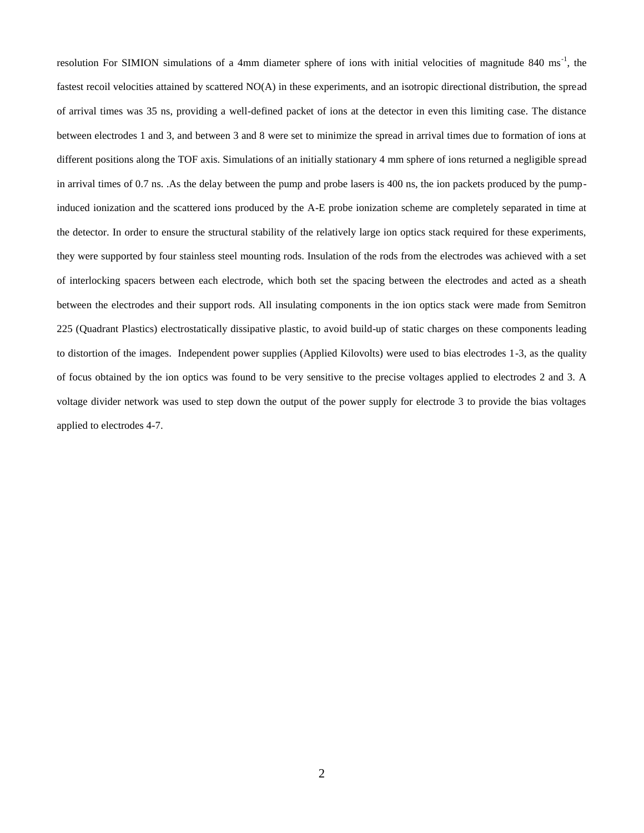resolution For SIMION simulations of a 4mm diameter sphere of ions with initial velocities of magnitude 840 ms<sup>-1</sup>, the fastest recoil velocities attained by scattered NO(A) in these experiments, and an isotropic directional distribution, the spread of arrival times was 35 ns, providing a well-defined packet of ions at the detector in even this limiting case. The distance between electrodes 1 and 3, and between 3 and 8 were set to minimize the spread in arrival times due to formation of ions at different positions along the TOF axis. Simulations of an initially stationary 4 mm sphere of ions returned a negligible spread in arrival times of 0.7 ns. .As the delay between the pump and probe lasers is 400 ns, the ion packets produced by the pumpinduced ionization and the scattered ions produced by the A-E probe ionization scheme are completely separated in time at the detector. In order to ensure the structural stability of the relatively large ion optics stack required for these experiments, they were supported by four stainless steel mounting rods. Insulation of the rods from the electrodes was achieved with a set of interlocking spacers between each electrode, which both set the spacing between the electrodes and acted as a sheath between the electrodes and their support rods. All insulating components in the ion optics stack were made from Semitron 225 (Quadrant Plastics) electrostatically dissipative plastic, to avoid build-up of static charges on these components leading to distortion of the images. Independent power supplies (Applied Kilovolts) were used to bias electrodes 1-3, as the quality of focus obtained by the ion optics was found to be very sensitive to the precise voltages applied to electrodes 2 and 3. A voltage divider network was used to step down the output of the power supply for electrode 3 to provide the bias voltages applied to electrodes 4-7.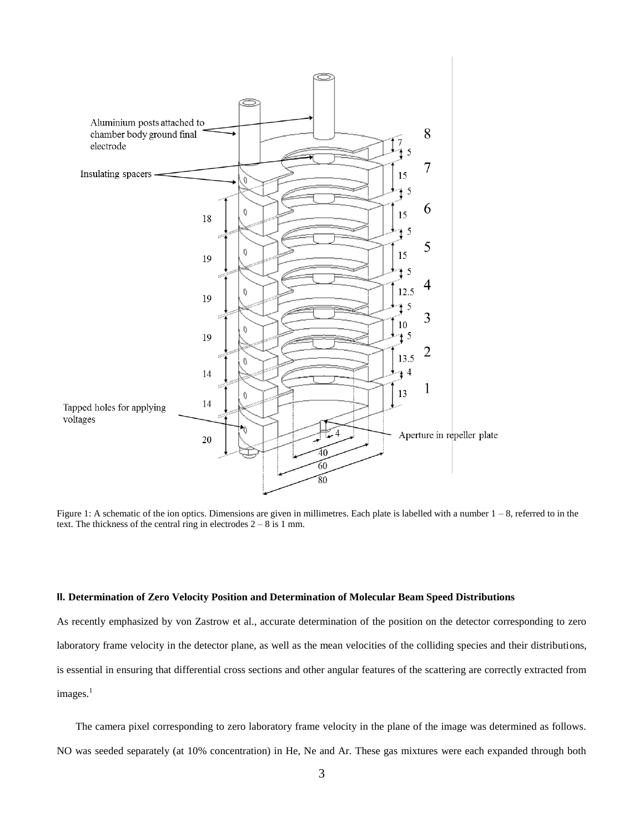

Figure 1: A schematic of the ion optics. Dimensions are given in millimetres. Each plate is labelled with a number 1 – 8, referred to in the text. The thickness of the central ring in electrodes  $2 - 8$  is 1 mm.

### **II. Determination of Zero Velocity Position and Determination of Molecular Beam Speed Distributions**

As recently emphasized by von Zastrow et al., accurate determination of the position on the detector corresponding to zero laboratory frame velocity in the detector plane, as well as the mean velocities of the colliding species and their distributions, is essential in ensuring that differential cross sections and other angular features of the scattering are correctly extracted from images.<sup>1</sup>

The camera pixel corresponding to zero laboratory frame velocity in the plane of the image was determined as follows. NO was seeded separately (at 10% concentration) in He, Ne and Ar. These gas mixtures were each expanded through both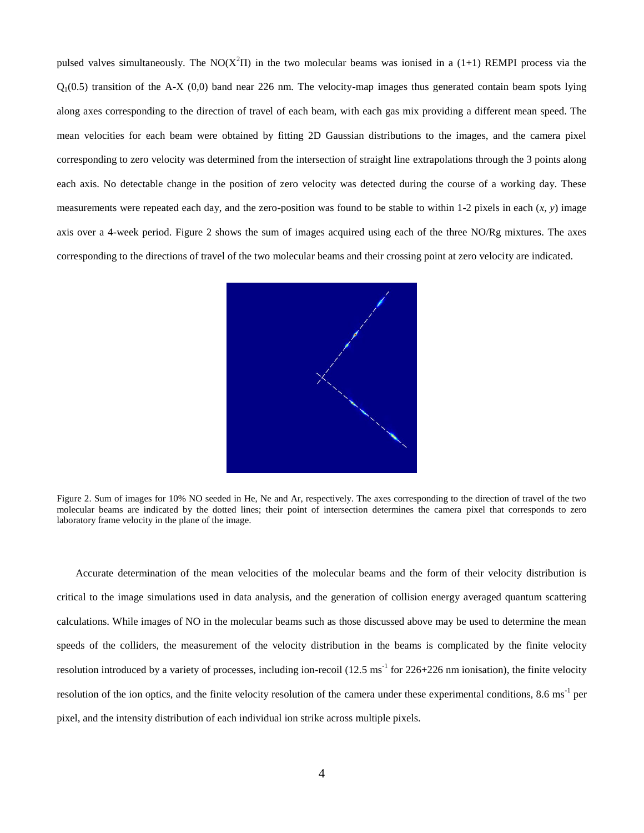pulsed valves simultaneously. The NO( $X^2\Pi$ ) in the two molecular beams was ionised in a (1+1) REMPI process via the  $Q_1(0.5)$  transition of the A-X  $(0,0)$  band near 226 nm. The velocity-map images thus generated contain beam spots lying along axes corresponding to the direction of travel of each beam, with each gas mix providing a different mean speed. The mean velocities for each beam were obtained by fitting 2D Gaussian distributions to the images, and the camera pixel corresponding to zero velocity was determined from the intersection of straight line extrapolations through the 3 points along each axis. No detectable change in the position of zero velocity was detected during the course of a working day. These measurements were repeated each day, and the zero-position was found to be stable to within 1-2 pixels in each (*x*, *y*) image axis over a 4-week period. Figure 2 shows the sum of images acquired using each of the three NO/Rg mixtures. The axes corresponding to the directions of travel of the two molecular beams and their crossing point at zero velocity are indicated.



Figure 2. Sum of images for 10% NO seeded in He, Ne and Ar, respectively. The axes corresponding to the direction of travel of the two molecular beams are indicated by the dotted lines; their point of intersection determines the camera pixel that corresponds to zero laboratory frame velocity in the plane of the image.

Accurate determination of the mean velocities of the molecular beams and the form of their velocity distribution is critical to the image simulations used in data analysis, and the generation of collision energy averaged quantum scattering calculations. While images of NO in the molecular beams such as those discussed above may be used to determine the mean speeds of the colliders, the measurement of the velocity distribution in the beams is complicated by the finite velocity resolution introduced by a variety of processes, including ion-recoil  $(12.5 \text{ ms}^{-1}$  for  $226+226 \text{ nm}$  ionisation), the finite velocity resolution of the ion optics, and the finite velocity resolution of the camera under these experimental conditions, 8.6 ms<sup>-1</sup> per pixel, and the intensity distribution of each individual ion strike across multiple pixels.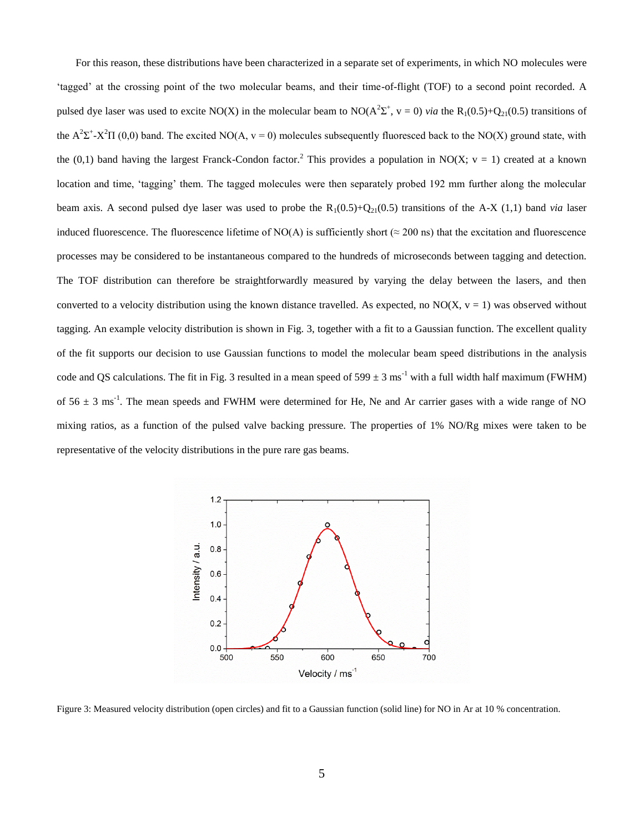For this reason, these distributions have been characterized in a separate set of experiments, in which NO molecules were 'tagged' at the crossing point of the two molecular beams, and their time-of-flight (TOF) to a second point recorded. A pulsed dye laser was used to excite NO(X) in the molecular beam to  $NO(A^2\Sigma^+, v = 0)$  *via* the  $R_1(0.5)+Q_{21}(0.5)$  transitions of the  $A^2\Sigma^+$ -X<sup>2</sup> $\Pi$  (0,0) band. The excited NO(A, v = 0) molecules subsequently fluoresced back to the NO(X) ground state, with the (0,1) band having the largest Franck-Condon factor.<sup>2</sup> This provides a population in NO(X; v = 1) created at a known location and time, 'tagging' them. The tagged molecules were then separately probed 192 mm further along the molecular beam axis. A second pulsed dye laser was used to probe the  $R_1(0.5)+Q_{21}(0.5)$  transitions of the A-X (1,1) band *via* laser induced fluorescence. The fluorescence lifetime of NO(A) is sufficiently short ( $\approx$  200 ns) that the excitation and fluorescence processes may be considered to be instantaneous compared to the hundreds of microseconds between tagging and detection. The TOF distribution can therefore be straightforwardly measured by varying the delay between the lasers, and then converted to a velocity distribution using the known distance travelled. As expected, no  $NO(X, v = 1)$  was observed without tagging. An example velocity distribution is shown in Fig. 3, together with a fit to a Gaussian function. The excellent quality of the fit supports our decision to use Gaussian functions to model the molecular beam speed distributions in the analysis code and QS calculations. The fit in Fig. 3 resulted in a mean speed of  $599 \pm 3$  ms<sup>-1</sup> with a full width half maximum (FWHM) of  $56 \pm 3$  ms<sup>-1</sup>. The mean speeds and FWHM were determined for He, Ne and Ar carrier gases with a wide range of NO mixing ratios, as a function of the pulsed valve backing pressure. The properties of 1% NO/Rg mixes were taken to be representative of the velocity distributions in the pure rare gas beams.



Figure 3: Measured velocity distribution (open circles) and fit to a Gaussian function (solid line) for NO in Ar at 10 % concentration.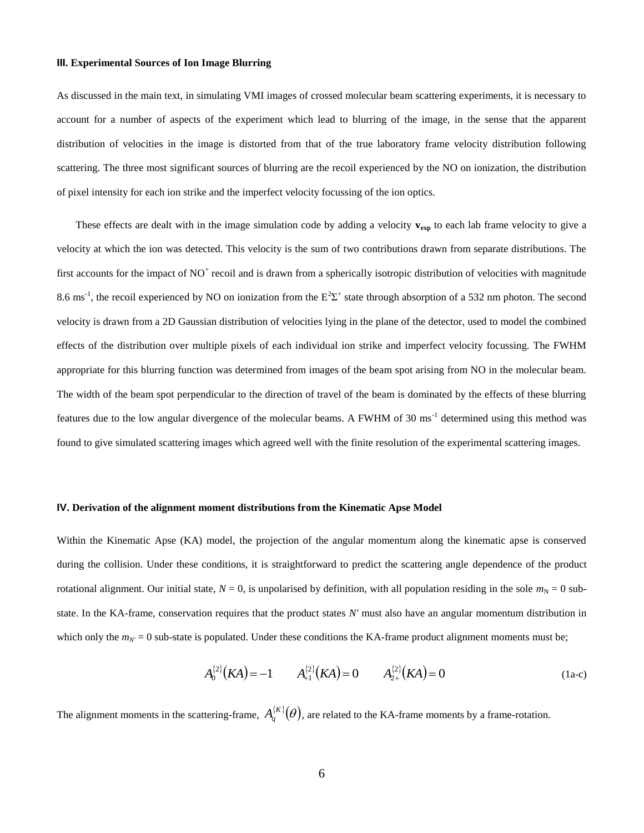#### **III. Experimental Sources of Ion Image Blurring**

As discussed in the main text, in simulating VMI images of crossed molecular beam scattering experiments, it is necessary to account for a number of aspects of the experiment which lead to blurring of the image, in the sense that the apparent distribution of velocities in the image is distorted from that of the true laboratory frame velocity distribution following scattering. The three most significant sources of blurring are the recoil experienced by the NO on ionization, the distribution of pixel intensity for each ion strike and the imperfect velocity focussing of the ion optics.

These effects are dealt with in the image simulation code by adding a velocity  $v_{exp}$  to each lab frame velocity to give a velocity at which the ion was detected. This velocity is the sum of two contributions drawn from separate distributions. The first accounts for the impact of  $NO<sup>+</sup>$  recoil and is drawn from a spherically isotropic distribution of velocities with magnitude 8.6 ms<sup>-1</sup>, the recoil experienced by NO on ionization from the  $E^2\Sigma^+$  state through absorption of a 532 nm photon. The second velocity is drawn from a 2D Gaussian distribution of velocities lying in the plane of the detector, used to model the combined effects of the distribution over multiple pixels of each individual ion strike and imperfect velocity focussing. The FWHM appropriate for this blurring function was determined from images of the beam spot arising from NO in the molecular beam. The width of the beam spot perpendicular to the direction of travel of the beam is dominated by the effects of these blurring features due to the low angular divergence of the molecular beams. A FWHM of 30 ms<sup>-1</sup> determined using this method was found to give simulated scattering images which agreed well with the finite resolution of the experimental scattering images.

### **IV. Derivation of the alignment moment distributions from the Kinematic Apse Model**

Within the Kinematic Apse (KA) model, the projection of the angular momentum along the kinematic apse is conserved during the collision. Under these conditions, it is straightforward to predict the scattering angle dependence of the product rotational alignment. Our initial state,  $N = 0$ , is unpolarised by definition, with all population residing in the sole  $m<sub>N</sub> = 0$  substate. In the KA-frame, conservation requires that the product states *N'* must also have an angular momentum distribution in which only the  $m_N = 0$  sub-state is populated. Under these conditions the KA-frame product alignment moments must be;

$$
A_0^{(2)}(KA) = -1 \qquad A_{+1}^{(2)}(KA) = 0 \qquad A_{2+}^{(2)}(KA) = 0 \qquad (1a-c)
$$

The alignment moments in the scattering-frame,  $A_q^{\{K\}}(\theta)$ , are related to the KA-frame moments by a frame-rotation.